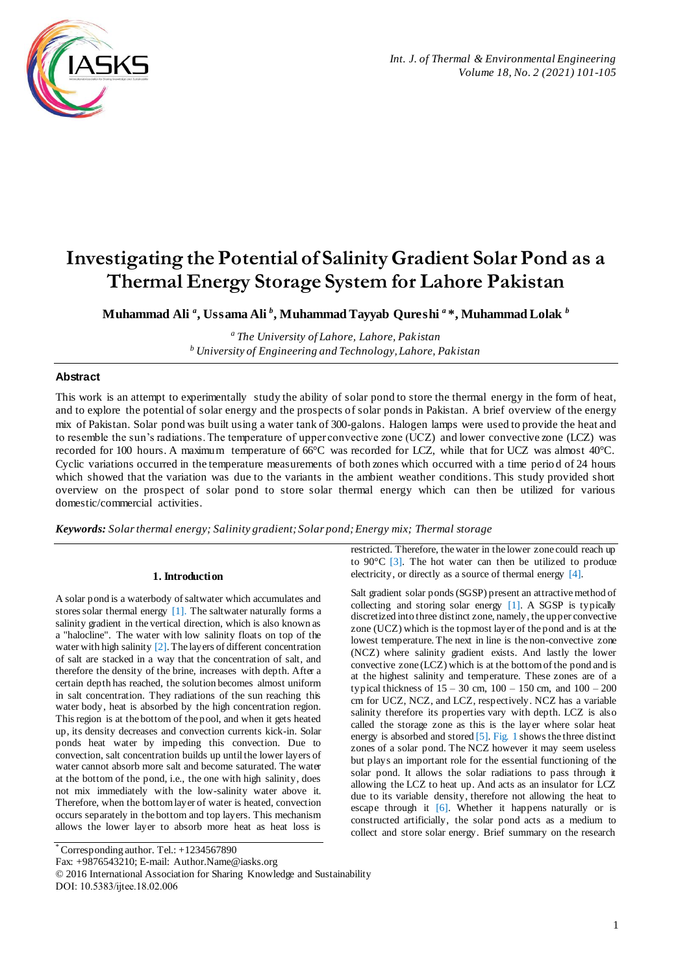

# **Investigating the Potential of Salinity Gradient Solar Pond as a Thermal Energy Storage System for Lahore Pakistan**

**Muhammad Ali** *<sup>a</sup>* **, Ussama Ali** *<sup>b</sup>* **, Muhammad Tayyab Qureshi** *<sup>a</sup>* **\*, Muhammad Lolak** *<sup>b</sup>*

*<sup>a</sup>The University of Lahore, Lahore, Pakistan <sup>b</sup>University of Engineering and Technology, Lahore, Pakistan*

# **Abstract**

This work is an attempt to experimentally study the ability of solar pond to store the thermal energy in the form of heat, and to explore the potential of solar energy and the prospects of solar ponds in Pakistan. A brief overview of the energy mix of Pakistan. Solar pond was built using a water tank of 300-galons. Halogen lamps were used to provide the heat and to resemble the sun's radiations. The temperature of upper convective zone (UCZ) and lower convective zone (LCZ) was recorded for 100 hours. A maximum temperature of 66°C was recorded for LCZ, while that for UCZ was almost 40°C. Cyclic variations occurred in the temperature measurements of both zones which occurred with a time perio d of 24 hours which showed that the variation was due to the variants in the ambient weather conditions. This study provided short overview on the prospect of solar pond to store solar thermal energy which can then be utilized for various domestic/commercial activities.

*Keywords: Solar thermal energy; Salinity gradient; Solar pond; Energy mix; Thermal storage*

## **1. Introduction**

A solar pond is a waterbody of saltwater which accumulates and stores solar thermal energy [1]. The saltwater naturally forms a salinity gradient in the vertical direction, which is also known as a "halocline". The water with low salinity floats on top of the water with high salinity  $[2]$ . The layers of different concentration of salt are stacked in a way that the concentration of salt, and therefore the density of the brine, increases with depth. After a certain depth has reached, the solution becomes almost uniform in salt concentration. They radiations of the sun reaching this water body, heat is absorbed by the high concentration region. This region is at the bottom of the pool, and when it gets heated up, its density decreases and convection currents kick-in. Solar ponds heat water by impeding this convection. Due to convection, salt concentration builds up until the lower layers of water cannot absorb more salt and become saturated. The water at the bottom of the pond, i.e., the one with high salinity, does not mix immediately with the low-salinity water above it. Therefore, when the bottom layer of water is heated, convection occurs separately in the bottom and top layers. This mechanism allows the lower layer to absorb more heat as heat loss is

restricted. Therefore, the water in the lower zone could reach up to  $90^{\circ}$ C [3]. The hot water can then be utilized to produce electricity, or directly as a source of thermal energy [4].

Salt gradient solar ponds (SGSP) present an attractive method of collecting and storing solar energy [1]. A SGSP is typically discretized into three distinct zone, namely, the upper convective zone (UCZ) which is the topmost layer of the pond and is at the lowest temperature. The next in line is the non-convective zone (NCZ) where salinity gradient exists. And lastly the lower convective zone (LCZ) which is at the bottom of the pond and is at the highest salinity and temperature. These zones are of a typical thickness of 15 – 30 cm, 100 – 150 cm, and 100 – 200 cm for UCZ, NCZ, and LCZ, respectively. NCZ has a variable salinity therefore its properties vary with depth. LCZ is also called the storage zone as this is the layer where solar heat energy is absorbed and stored [5]. Fig. 1 shows the three distinct zones of a solar pond. The NCZ however it may seem useless but plays an important role for the essential functioning of the solar pond. It allows the solar radiations to pass through it allowing the LCZ to heat up. And acts as an insulator for LCZ due to its variable density, therefore not allowing the heat to escape through it [6]. Whether it happens naturally or is constructed artificially, the solar pond acts as a medium to collect and store solar energy. Brief summary on the research

Fax: +9876543210; E-mail: Author.Name@iasks.org

DOI: 10.5383/ijtee.18.02.006

<sup>\*</sup> Corresponding author. Tel.: +1234567890

<sup>© 2016</sup> International Association for Sharing Knowledge and Sustainability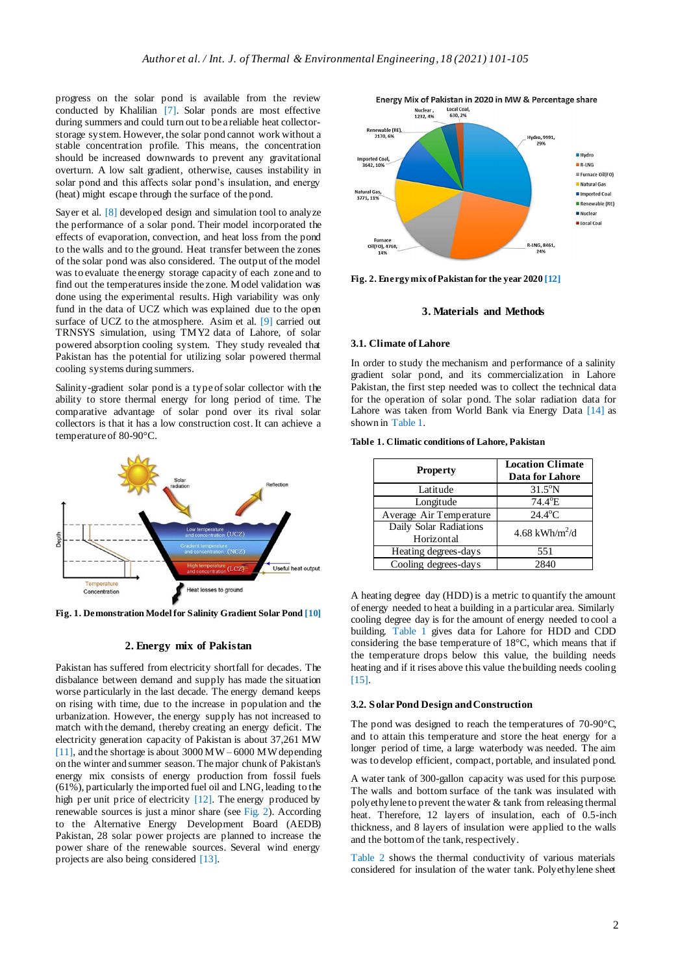progress on the solar pond is available from the review conducted by Khalilian [7]. Solar ponds are most effective during summers and could turn out to be a reliable heat collectorstorage system. However, the solar pond cannot work without a stable concentration profile. This means, the concentration should be increased downwards to prevent any gravitational overturn. A low salt gradient, otherwise, causes instability in solar pond and this affects solar pond's insulation, and energy (heat) might escape through the surface of the pond.

Sayer et al. [8] developed design and simulation tool to analyze the performance of a solar pond. Their model incorporated the effects of evaporation, convection, and heat loss from the pond to the walls and to the ground. Heat transfer between the zones of the solar pond was also considered. The output of the model was to evaluate the energy storage capacity of each zone and to find out the temperatures inside the zone. Model validation was done using the experimental results. High variability was only fund in the data of UCZ which was explained due to the open surface of UCZ to the atmosphere. Asim et al. [9] carried out TRNSYS simulation, using TMY2 data of Lahore, of solar powered absorption cooling system. They study revealed that Pakistan has the potential for utilizing solar powered thermal cooling systems during summers.

Salinity-gradient solar pond is a type of solar collector with the ability to store thermal energy for long period of time. The comparative advantage of solar pond over its rival solar collectors is that it has a low construction cost. It can achieve a temperature of 80-90°C.



**Fig. 1. Demonstration Model for Salinity Gradient Solar Pond [10]**

## **2. Energy mix of Pakistan**

Pakistan has suffered from electricity shortfall for decades. The disbalance between demand and supply has made the situation worse particularly in the last decade. The energy demand keeps on rising with time, due to the increase in population and the urbanization. However, the energy supply has not increased to match with the demand, thereby creating an energy deficit. The electricity generation capacity of Pakistan is about 37,261 MW [11], and the shortage is about  $3000 \,\mathrm{MW} - 6000 \,\mathrm{MW}$  depending on the winter and summer season. The major chunk of Pakistan's energy mix consists of energy production from fossil fuels (61%), particularly the imported fuel oil and LNG, leading to the high per unit price of electricity [12]. The energy produced by renewable sources is just a minor share (see Fig. 2). According to the Alternative Energy Development Board (AEDB) Pakistan, 28 solar power projects are planned to increase the power share of the renewable sources. Several wind energy projects are also being considered [13].



**Fig. 2. Energy mix of Pakistan for the year 2020 [12]**

#### **3. Materials and Methods**

#### **3.1. Climate of Lahore**

In order to study the mechanism and performance of a salinity gradient solar pond, and its commercialization in Lahore Pakistan, the first step needed was to collect the technical data for the operation of solar pond. The solar radiation data for Lahore was taken from World Bank via Energy Data [14] as shown in Table 1.

**Table 1. Climatic conditions of Lahore, Pakistan**

| <b>Property</b>         | <b>Location Climate</b><br>Data for Lahore |  |
|-------------------------|--------------------------------------------|--|
| Latitude                | $31.5^{\circ}$ N                           |  |
| Longitude               | 74.4°E                                     |  |
| Average Air Temperature | $24.4^{\circ}$ C                           |  |
| Daily Solar Radiations  | 4.68 kWh/m <sup>2</sup> /d                 |  |
| Horizontal              |                                            |  |
| Heating degrees-days    | 551                                        |  |
| Cooling degrees-days    | 2840                                       |  |

A heating degree day (HDD) is a metric to quantify the amount of energy needed to heat a building in a particular area. Similarly cooling degree day is for the amount of energy needed to cool a building. Table 1 gives data for Lahore for HDD and CDD considering the base temperature of 18°C, which means that if the temperature drops below this value, the building needs heating and if it rises above this value the building needs cooling [15].

## **3.2. Solar Pond Design and Construction**

The pond was designed to reach the temperatures of 70-90°C, and to attain this temperature and store the heat energy for a longer period of time, a large waterbody was needed. The aim was to develop efficient, compact, portable, and insulated pond.

A water tank of 300-gallon capacity was used for this purpose. The walls and bottom surface of the tank was insulated with polyethylene to prevent the water & tank from releasing thermal heat. Therefore, 12 layers of insulation, each of 0.5-inch thickness, and 8 layers of insulation were applied to the walls and the bottom of the tank, respectively.

Table 2 shows the thermal conductivity of various materials considered for insulation of the water tank. Polyethylene sheet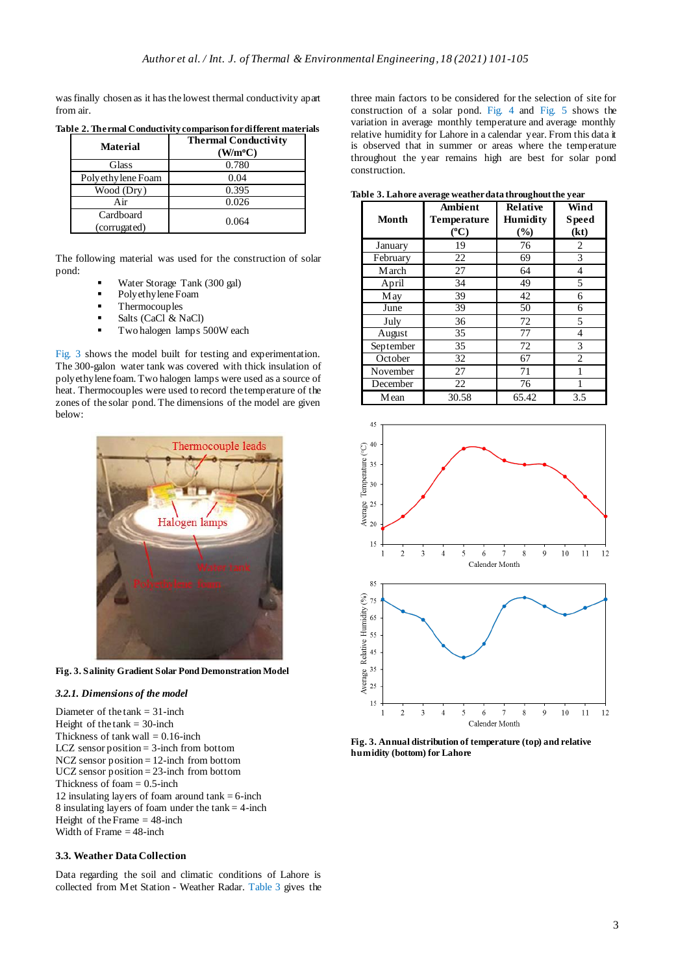was finally chosen as it has the lowest thermal conductivity apart from air.

| <b>Material</b>           | <b>Thermal Conductivity</b><br>$(W/m^oC)$ |
|---------------------------|-------------------------------------------|
| Glass                     | 0.780                                     |
| Polyethy lene Foam        | 0.04                                      |
| Wood (Dry)                | 0.395                                     |
| Air                       | 0.026                                     |
| Cardboard<br>(corrugated) | 0.064                                     |

**Table 2. Thermal Conductivity comparison for different materials**

The following material was used for the construction of solar pond:

- Water Storage Tank (300 gal)
- Polyethylene Foam
- Thermocouples
- Salts (CaCl & NaCl)
- Two halogen lamps 500W each

Fig. 3 shows the model built for testing and experimentation. The 300-galon water tank was covered with thick insulation of polyethylene foam. Two halogen lamps were used as a source of heat. Thermocouples were used to record the temperature of the zones of the solar pond. The dimensions of the model are given below:



**Fig. 3. Salinity Gradient Solar Pond Demonstration Model**

## *3.2.1. Dimensions of the model*

Diameter of the tank = 31-inch Height of the  $tank = 30$ -inch Thickness of tank wall  $= 0.16$ -inch LCZ sensor position = 3-inch from bottom NCZ sensor position = 12-inch from bottom UCZ sensor position = 23-inch from bottom Thickness of foam  $= 0.5$ -inch 12 insulating layers of foam around  $tank = 6$ -inch 8 insulating layers of foam under the  $tank = 4$ -inch Height of the Frame  $=$  48-inch Width of Frame  $=$  48-inch

# **3.3. Weather Data Collection**

Data regarding the soil and climatic conditions of Lahore is collected from Met Station - Weather Radar. Table 3 gives the three main factors to be considered for the selection of site for construction of a solar pond. Fig. 4 and Fig. 5 shows the variation in average monthly temperature and average monthly relative humidity for Lahore in a calendar year. From this data it is observed that in summer or areas where the temperature throughout the year remains high are best for solar pond construction.

**Table 3. Lahore average weather data throughout the year**

**Month Ambient Temperature ( <sup>o</sup>C) Relative Humidity (%) Wind Speed (kt)** *January* 19 76 2<br>February 22 69 3 **February** March 27 64 4<br>
April 34 49 5 April May 39 42 6 June 39 50 6 July 1 36 1 72 5 August 35 77 4 September 35 72 3 October 32 67 2 November 27 71 1<br>December 22 76 1 December 22 76 1

Mean 30.58 65.42 3.5  $45$  $\odot$  40 Temperature ( $\frac{3}{2}$ မ္ထူ 25 Aver 20 15

 $\overline{4}$ 5  $\epsilon$  $\overline{7}$ 8 9  $10$  $11$  $12$ 



**Fig. 3. Annual distribution of temperature (top) and relative humidity (bottom) for Lahore**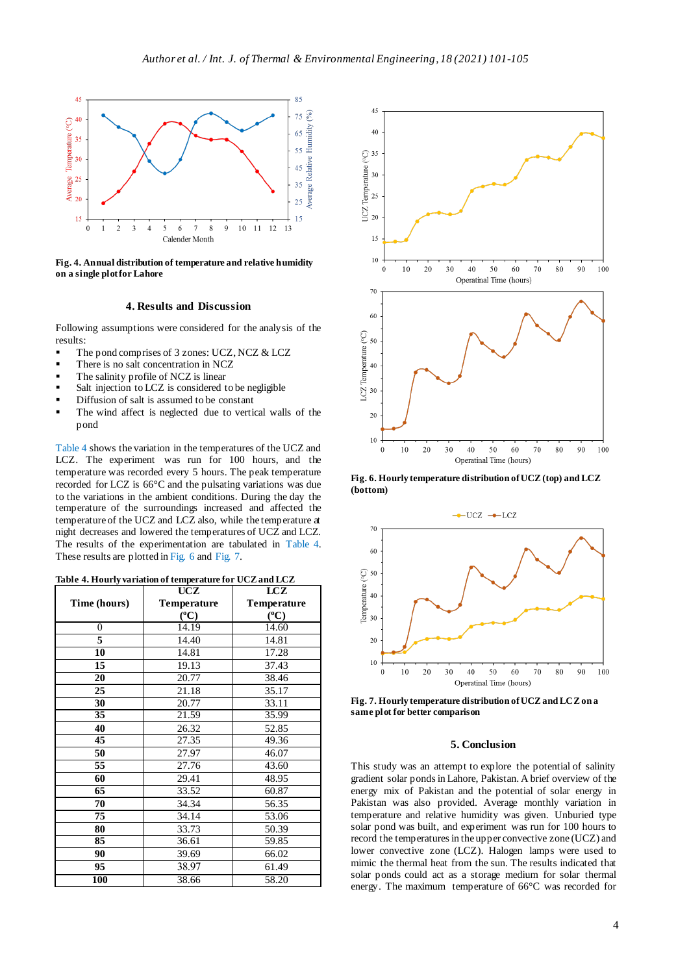

**Fig. 4. Annual distribution of temperature and relative humidity on a single plot for Lahore**

#### **4. Results and Discussion**

Following assumptions were considered for the analysis of the results:

- The pond comprises of 3 zones: UCZ, NCZ & LCZ
- There is no salt concentration in NCZ
- The salinity profile of NCZ is linear
- Salt injection to LCZ is considered to be negligible
- Diffusion of salt is assumed to be constant
- The wind affect is neglected due to vertical walls of the pond

Table 4 shows the variation in the temperatures of the UCZ and LCZ. The experiment was run for 100 hours, and the temperature was recorded every 5 hours. The peak temperature recorded for LCZ is 66°C and the pulsating variations was due to the variations in the ambient conditions. During the day the temperature of the surroundings increased and affected the temperature of the UCZ and LCZ also, while the temperature at night decreases and lowered the temperatures of UCZ and LCZ. The results of the experimentation are tabulated in Table 4. These results are plotted in Fig. 6 and Fig. 7.

#### **Table 4. Hourly variation of temperature for UCZ and LCZ**

|              | <b>UCZ</b>         | LCZ                |
|--------------|--------------------|--------------------|
| Time (hours) | <b>Temperature</b> | <b>Temperature</b> |
|              | $({}^oC)$          | $(^{0}C)$          |
| 0            | 14.19              | 14.60              |
| 5            | 14.40              | 14.81              |
| 10           | 14.81              | 17.28              |
| 15           | 19.13              | 37.43              |
| 20           | 20.77              | 38.46              |
| 25           | 21.18              | 35.17              |
| 30           | 20.77              | 33.11              |
| 35           | 21.59              | 35.99              |
| 40           | 26.32              | 52.85              |
| 45           | 27.35              | 49.36              |
| 50           | 27.97              | 46.07              |
| 55           | 27.76              | 43.60              |
| 60           | 29.41              | 48.95              |
| 65           | 33.52              | 60.87              |
| 70           | 34.34              | 56.35              |
| 75           | 34.14              | 53.06              |
| 80           | 33.73              | 50.39              |
| 85           | 36.61              | 59.85              |
| 90           | 39.69              | 66.02              |
| 95           | 38.97              | 61.49              |
| 100          | 38.66              | 58.20              |



**Fig. 6. Hourly temperature distribution of UCZ (top) and LCZ (bottom)**



**Fig. 7. Hourly temperature distribution of UCZ and LCZ on a same plot for better comparison**

## **5. Conclusion**

This study was an attempt to explore the potential of salinity gradient solar ponds in Lahore, Pakistan. A brief overview of the energy mix of Pakistan and the potential of solar energy in Pakistan was also provided. Average monthly variation in temperature and relative humidity was given. Unburied type solar pond was built, and experiment was run for 100 hours to record the temperatures in the upper convective zone (UCZ) and lower convective zone (LCZ). Halogen lamps were used to mimic the thermal heat from the sun. The results indicated that solar ponds could act as a storage medium for solar thermal energy. The maximum temperature of 66°C was recorded for